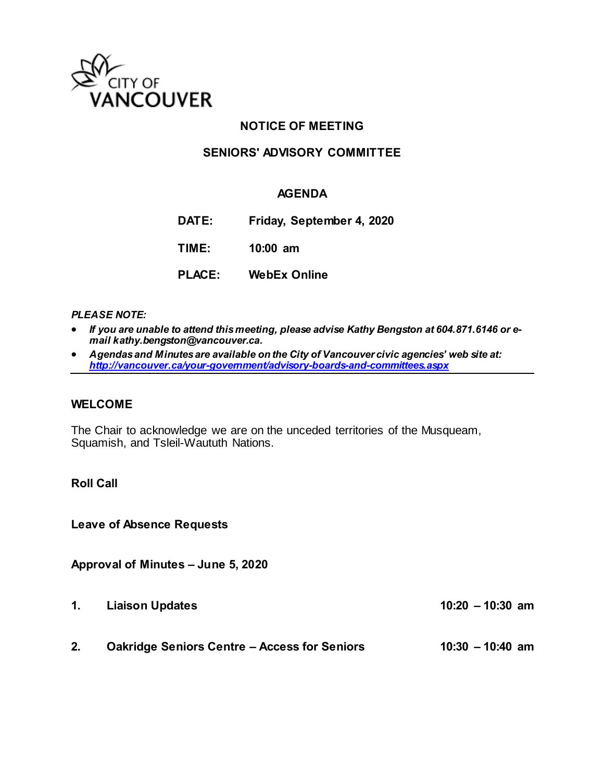

## **NOTICE OF MEETING**

## **SENIORS' ADVISORY COMMITTEE**

### **AGENDA**

- **DATE: Friday, September 4, 2020**
- **TIME: 10:00 am**
- **PLACE: WebEx Online**

#### *PLEASE NOTE:*

- *If you are unable to attend this meeting, please advise Kathy Bengston at 604.871.6146 or email kathy.bengston@vancouver.ca.*
- *Agendas and Minutes are available on the City of Vancouver civic agencies' web site at: <http://vancouver.ca/your-government/advisory-boards-and-committees.aspx>*

#### **WELCOME**

The Chair to acknowledge we are on the unceded territories of the Musqueam, Squamish, and Tsleil-Waututh Nations.

#### **Roll Call**

**Leave of Absence Requests** 

#### **Approval of Minutes – June 5, 2020**

**1. Liaison Updates 10:20 – 10:30 am**

**2. Oakridge Seniors Centre – Access for Seniors 10:30 – 10:40 am**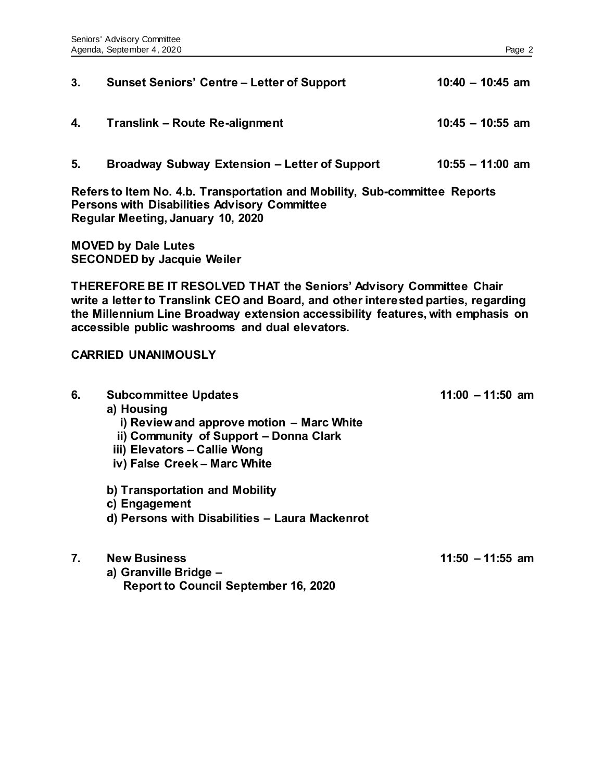| 3.                                                                                                                                                                                                                                                                                              | <b>Sunset Seniors' Centre – Letter of Support</b>                                                                                                                                                | $10:40 - 10:45$ am |  |  |
|-------------------------------------------------------------------------------------------------------------------------------------------------------------------------------------------------------------------------------------------------------------------------------------------------|--------------------------------------------------------------------------------------------------------------------------------------------------------------------------------------------------|--------------------|--|--|
| 4.                                                                                                                                                                                                                                                                                              | <b>Translink - Route Re-alignment</b>                                                                                                                                                            | $10:45 - 10:55$ am |  |  |
| 5.                                                                                                                                                                                                                                                                                              | <b>Broadway Subway Extension - Letter of Support</b>                                                                                                                                             | $10:55 - 11:00$ am |  |  |
| Refers to Item No. 4.b. Transportation and Mobility, Sub-committee Reports<br><b>Persons with Disabilities Advisory Committee</b><br>Regular Meeting, January 10, 2020                                                                                                                          |                                                                                                                                                                                                  |                    |  |  |
| <b>MOVED by Dale Lutes</b><br><b>SECONDED by Jacquie Weiler</b>                                                                                                                                                                                                                                 |                                                                                                                                                                                                  |                    |  |  |
| THEREFORE BE IT RESOLVED THAT the Seniors' Advisory Committee Chair<br>write a letter to Translink CEO and Board, and other interested parties, regarding<br>the Millennium Line Broadway extension accessibility features, with emphasis on<br>accessible public washrooms and dual elevators. |                                                                                                                                                                                                  |                    |  |  |
| <b>CARRIED UNANIMOUSLY</b>                                                                                                                                                                                                                                                                      |                                                                                                                                                                                                  |                    |  |  |
| 6.                                                                                                                                                                                                                                                                                              | <b>Subcommittee Updates</b><br>a) Housing<br>i) Review and approve motion - Marc White<br>ii) Community of Support - Donna Clark<br>iii) Elevators - Callie Wong<br>iv) False Creek - Marc White | $11:00 - 11:50$ am |  |  |
|                                                                                                                                                                                                                                                                                                 | b) Transportation and Mobility<br>c) Engagement<br>d) Persons with Disabilities - Laura Mackenrot                                                                                                |                    |  |  |
| 7.                                                                                                                                                                                                                                                                                              | <b>New Business</b><br>a) Granville Bridge -<br><b>Report to Council September 16, 2020</b>                                                                                                      | $11:50 - 11:55$ am |  |  |